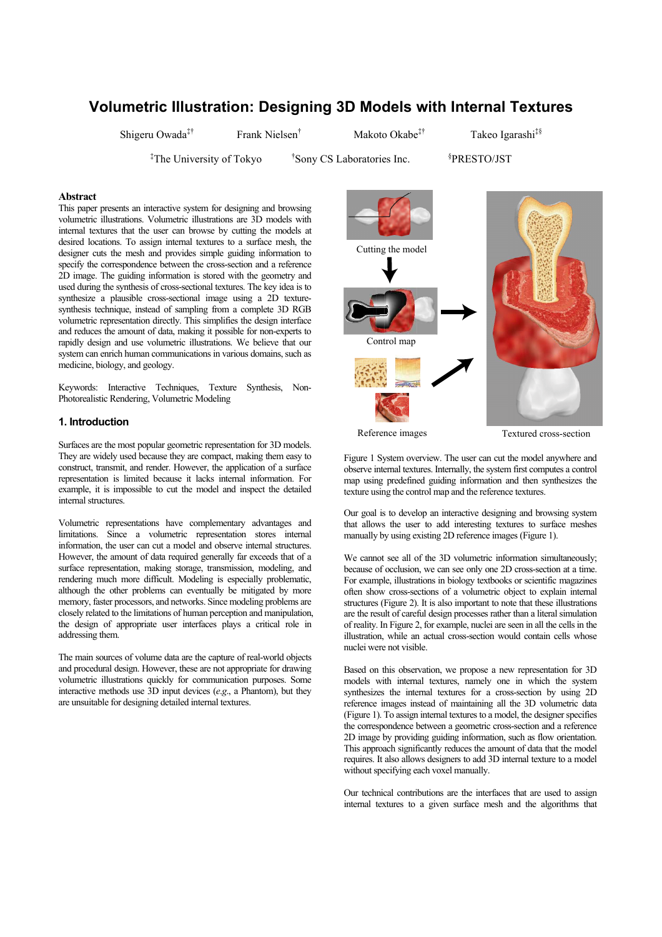# **Volumetric Illustration: Designing 3D Models with Internal Textures**

Shigeru Owada<sup>‡†</sup> Frank Nielsen<sup>†</sup>

Makoto Okabe<sup>‡†</sup> Takeo Igarashi<sup>‡§</sup>

‡The University of Tokyo †

<sup>†</sup>Sony CS Laboratories Inc.

PRESTO/JST

# **Abstract**

This paper presents an interactive system for designing and browsing volumetric illustrations. Volumetric illustrations are 3D models with internal textures that the user can browse by cutting the models at desired locations. To assign internal textures to a surface mesh, the designer cuts the mesh and provides simple guiding information to specify the correspondence between the cross-section and a reference 2D image. The guiding information is stored with the geometry and used during the synthesis of cross-sectional textures. The key idea is to synthesize a plausible cross-sectional image using a 2D texturesynthesis technique, instead of sampling from a complete 3D RGB volumetric representation directly. This simplifies the design interface and reduces the amount of data, making it possible for non-experts to rapidly design and use volumetric illustrations. We believe that our system can enrich human communications in various domains, such as medicine, biology, and geology.

Keywords: Interactive Techniques, Texture Synthesis, Non-Photorealistic Rendering, Volumetric Modeling

# **1. Introduction**

Surfaces are the most popular geometric representation for 3D models. They are widely used because they are compact, making them easy to construct, transmit, and render. However, the application of a surface representation is limited because it lacks internal information. For example, it is impossible to cut the model and inspect the detailed internal structures.

Volumetric representations have complementary advantages and limitations. Since a volumetric representation stores internal information, the user can cut a model and observe internal structures. However, the amount of data required generally far exceeds that of a surface representation, making storage, transmission, modeling, and rendering much more difficult. Modeling is especially problematic, although the other problems can eventually be mitigated by more memory, faster processors, and networks. Since modeling problems are closely related to the limitations of human perception and manipulation, the design of appropriate user interfaces plays a critical role in addressing them.

The main sources of volume data are the capture of real-world objects and procedural design. However, these are not appropriate for drawing volumetric illustrations quickly for communication purposes. Some interactive methods use 3D input devices (*e*.*g*., a Phantom), but they are unsuitable for designing detailed internal textures.



Reference images

Textured cross-section

Figure 1 System overview. The user can cut the model anywhere and observe internal textures. Internally, the system first computes a control map using predefined guiding information and then synthesizes the texture using the control map and the reference textures.

Our goal is to develop an interactive designing and browsing system that allows the user to add interesting textures to surface meshes manually by using existing 2D reference images (Figure 1).

We cannot see all of the 3D volumetric information simultaneously; because of occlusion, we can see only one 2D cross-section at a time. For example, illustrations in biology textbooks or scientific magazines often show cross-sections of a volumetric object to explain internal structures (Figure 2). It is also important to note that these illustrations are the result of careful design processes rather than a literal simulation of reality. In Figure 2, for example, nuclei are seen in all the cells in the illustration, while an actual cross-section would contain cells whose nuclei were not visible.

Based on this observation, we propose a new representation for 3D models with internal textures, namely one in which the system synthesizes the internal textures for a cross-section by using 2D reference images instead of maintaining all the 3D volumetric data (Figure 1). To assign internal textures to a model, the designer specifies the correspondence between a geometric cross-section and a reference 2D image by providing guiding information, such as flow orientation. This approach significantly reduces the amount of data that the model requires. It also allows designers to add 3D internal texture to a model without specifying each voxel manually.

Our technical contributions are the interfaces that are used to assign internal textures to a given surface mesh and the algorithms that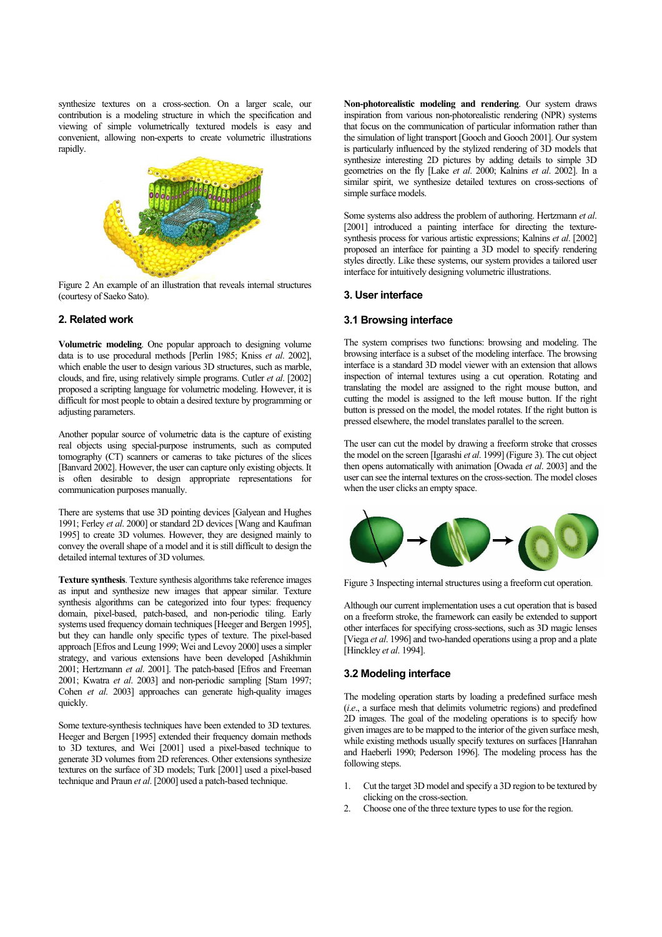synthesize textures on a cross-section. On a larger scale, our contribution is a modeling structure in which the specification and viewing of simple volumetrically textured models is easy and convenient, allowing non-experts to create volumetric illustrations rapidly.



Figure 2 An example of an illustration that reveals internal structures (courtesy of Saeko Sato).

## **2. Related work**

**Volumetric modeling**. One popular approach to designing volume data is to use procedural methods [Perlin 1985; Kniss *et al*. 2002], which enable the user to design various 3D structures, such as marble, clouds, and fire, using relatively simple programs. Cutler *et al*. [2002] proposed a scripting language for volumetric modeling. However, it is difficult for most people to obtain a desired texture by programming or adjusting parameters.

Another popular source of volumetric data is the capture of existing real objects using special-purpose instruments, such as computed tomography (CT) scanners or cameras to take pictures of the slices [Banvard 2002]. However, the user can capture only existing objects. It is often desirable to design appropriate representations for communication purposes manually.

There are systems that use 3D pointing devices [Galyean and Hughes 1991; Ferley *et al*. 2000] or standard 2D devices [Wang and Kaufman 1995] to create 3D volumes. However, they are designed mainly to convey the overall shape of a model and it is still difficult to design the detailed internal textures of 3D volumes.

**Texture synthesis**. Texture synthesis algorithms take reference images as input and synthesize new images that appear similar. Texture synthesis algorithms can be categorized into four types: frequency domain, pixel-based, patch-based, and non-periodic tiling. Early systems used frequency domain techniques [Heeger and Bergen 1995], but they can handle only specific types of texture. The pixel-based approach [Efros and Leung 1999; Wei and Levoy 2000] uses a simpler strategy, and various extensions have been developed [Ashikhmin 2001; Hertzmann *et al*. 2001]. The patch-based [Efros and Freeman 2001; Kwatra *et al*. 2003] and non-periodic sampling [Stam 1997; Cohen *et al*. 2003] approaches can generate high-quality images quickly.

Some texture-synthesis techniques have been extended to 3D textures. Heeger and Bergen [1995] extended their frequency domain methods to 3D textures, and Wei [2001] used a pixel-based technique to generate 3D volumes from 2D references. Other extensions synthesize textures on the surface of 3D models; Turk [2001] used a pixel-based technique and Praun *et al*. [2000] used a patch-based technique.

**Non-photorealistic modeling and rendering**. Our system draws inspiration from various non-photorealistic rendering (NPR) systems that focus on the communication of particular information rather than the simulation of light transport [Gooch and Gooch 2001]. Our system is particularly influenced by the stylized rendering of 3D models that synthesize interesting 2D pictures by adding details to simple 3D geometries on the fly [Lake *et al*. 2000; Kalnins *et al*. 2002]. In a similar spirit, we synthesize detailed textures on cross-sections of simple surface models.

Some systems also address the problem of authoring. Hertzmann *et al*. [2001] introduced a painting interface for directing the texturesynthesis process for various artistic expressions; Kalnins *et al*. [2002] proposed an interface for painting a 3D model to specify rendering styles directly. Like these systems, our system provides a tailored user interface for intuitively designing volumetric illustrations.

#### **3. User interface**

#### **3.1 Browsing interface**

The system comprises two functions: browsing and modeling. The browsing interface is a subset of the modeling interface. The browsing interface is a standard 3D model viewer with an extension that allows inspection of internal textures using a cut operation. Rotating and translating the model are assigned to the right mouse button, and cutting the model is assigned to the left mouse button. If the right button is pressed on the model, the model rotates. If the right button is pressed elsewhere, the model translates parallel to the screen.

The user can cut the model by drawing a freeform stroke that crosses the model on the screen [Igarashi *et al*. 1999] (Figure 3). The cut object then opens automatically with animation [Owada *et al*. 2003] and the user can see the internal textures on the cross-section. The model closes when the user clicks an empty space.



Figure 3 Inspecting internal structures using a freeform cut operation.

Although our current implementation uses a cut operation that is based on a freeform stroke, the framework can easily be extended to support other interfaces for specifying cross-sections, such as 3D magic lenses [Viega *et al*. 1996] and two-handed operations using a prop and a plate [Hinckley *et al*. 1994].

### **3.2 Modeling interface**

The modeling operation starts by loading a predefined surface mesh (*i*.*e*., a surface mesh that delimits volumetric regions) and predefined 2D images. The goal of the modeling operations is to specify how given images are to be mapped to the interior of the given surface mesh, while existing methods usually specify textures on surfaces [Hanrahan and Haeberli 1990; Pederson 1996]. The modeling process has the following steps.

- 1. Cut the target 3D model and specify a 3D region to be textured by clicking on the cross-section.
- 2. Choose one of the three texture types to use for the region.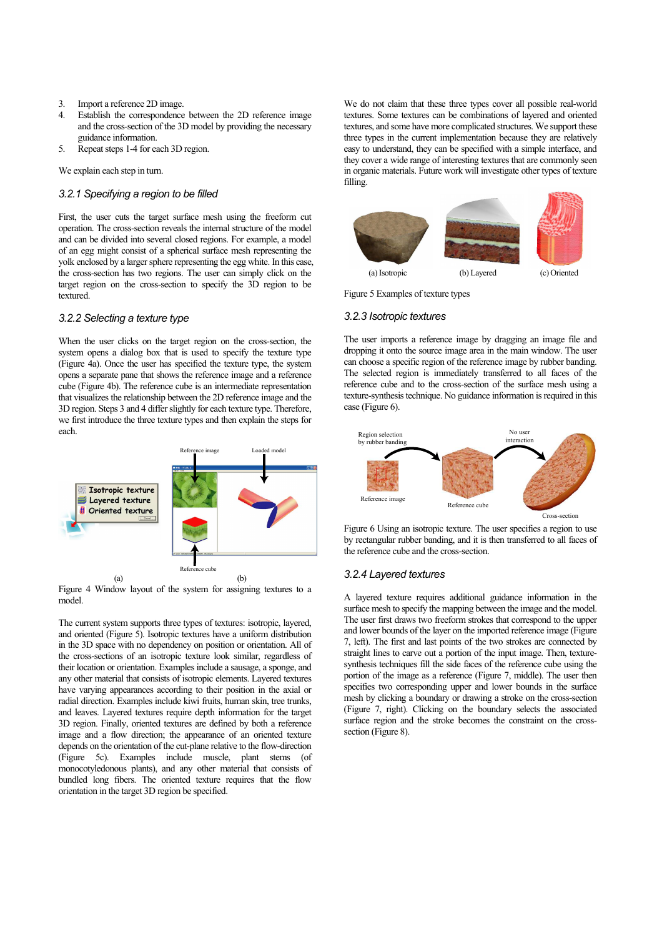- 3. Import a reference 2D image.
- 4. Establish the correspondence between the 2D reference image and the cross-section of the 3D model by providing the necessary guidance information.
- 5. Repeat steps 1-4 for each 3D region.

We explain each step in turn.

## *3.2.1 Specifying a region to be filled*

First, the user cuts the target surface mesh using the freeform cut operation. The cross-section reveals the internal structure of the model and can be divided into several closed regions. For example, a model of an egg might consist of a spherical surface mesh representing the yolk enclosed by a larger sphere representing the egg white. In this case, the cross-section has two regions. The user can simply click on the target region on the cross-section to specify the 3D region to be textured.

## *3.2.2 Selecting a texture type*

When the user clicks on the target region on the cross-section, the system opens a dialog box that is used to specify the texture type (Figure 4a). Once the user has specified the texture type, the system opens a separate pane that shows the reference image and a reference cube (Figure 4b). The reference cube is an intermediate representation that visualizes the relationship between the 2D reference image and the 3D region. Steps 3 and 4 differ slightly for each texture type. Therefore, we first introduce the three texture types and then explain the steps for each.



Figure 4 Window layout of the system for assigning textures to a model.

The current system supports three types of textures: isotropic, layered, and oriented (Figure 5). Isotropic textures have a uniform distribution in the 3D space with no dependency on position or orientation. All of the cross-sections of an isotropic texture look similar, regardless of their location or orientation. Examples include a sausage, a sponge, and any other material that consists of isotropic elements. Layered textures have varying appearances according to their position in the axial or radial direction. Examples include kiwi fruits, human skin, tree trunks, and leaves. Layered textures require depth information for the target 3D region. Finally, oriented textures are defined by both a reference image and a flow direction; the appearance of an oriented texture depends on the orientation of the cut-plane relative to the flow-direction (Figure 5c). Examples include muscle, plant stems (of monocotyledonous plants), and any other material that consists of bundled long fibers. The oriented texture requires that the flow orientation in the target 3D region be specified.

We do not claim that these three types cover all possible real-world textures. Some textures can be combinations of layered and oriented textures, and some have more complicated structures. We support these three types in the current implementation because they are relatively easy to understand, they can be specified with a simple interface, and they cover a wide range of interesting textures that are commonly seen in organic materials. Future work will investigate other types of texture filling.



Figure 5 Examples of texture types

# *3.2.3 Isotropic textures*

The user imports a reference image by dragging an image file and dropping it onto the source image area in the main window. The user can choose a specific region of the reference image by rubber banding. The selected region is immediately transferred to all faces of the reference cube and to the cross-section of the surface mesh using a texture-synthesis technique. No guidance information is required in this case (Figure 6).





## *3.2.4 Layered textures*

A layered texture requires additional guidance information in the surface mesh to specify the mapping between the image and the model. The user first draws two freeform strokes that correspond to the upper and lower bounds of the layer on the imported reference image (Figure 7, left). The first and last points of the two strokes are connected by straight lines to carve out a portion of the input image. Then, texturesynthesis techniques fill the side faces of the reference cube using the portion of the image as a reference (Figure 7, middle). The user then specifies two corresponding upper and lower bounds in the surface mesh by clicking a boundary or drawing a stroke on the cross-section (Figure 7, right). Clicking on the boundary selects the associated surface region and the stroke becomes the constraint on the crosssection (Figure 8).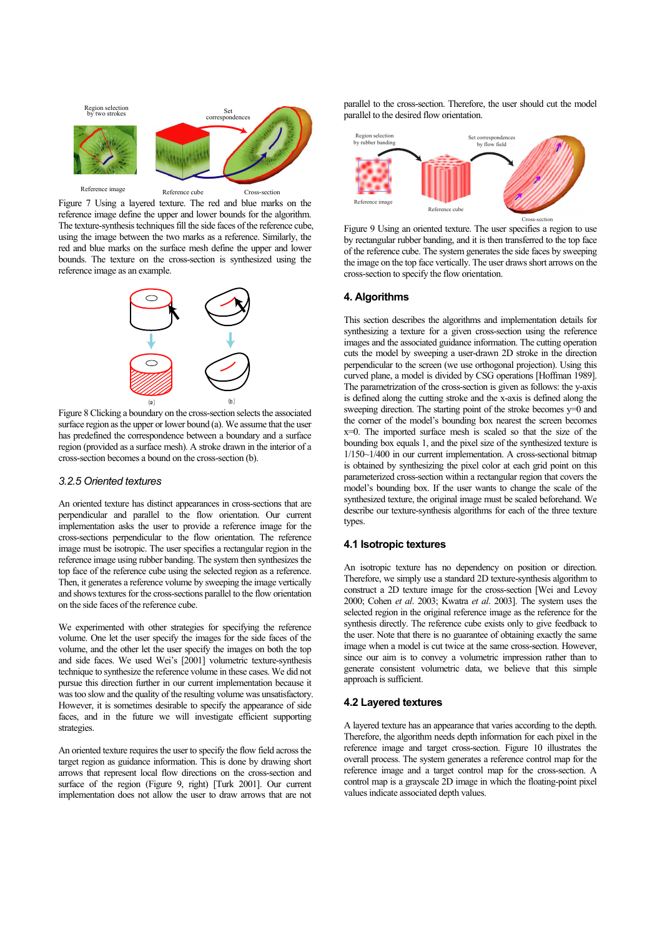

Figure 7 Using a layered texture. The red and blue marks on the reference image define the upper and lower bounds for the algorithm. The texture-synthesis techniques fill the side faces of the reference cube, using the image between the two marks as a reference. Similarly, the red and blue marks on the surface mesh define the upper and lower bounds. The texture on the cross-section is synthesized using the reference image as an example.



Figure 8 Clicking a boundary on the cross-section selects the associated surface region as the upper or lower bound (a). We assume that the user has predefined the correspondence between a boundary and a surface region (provided as a surface mesh). A stroke drawn in the interior of a cross-section becomes a bound on the cross-section (b).

# *3.2.5 Oriented textures*

An oriented texture has distinct appearances in cross-sections that are perpendicular and parallel to the flow orientation. Our current implementation asks the user to provide a reference image for the cross-sections perpendicular to the flow orientation. The reference image must be isotropic. The user specifies a rectangular region in the reference image using rubber banding. The system then synthesizes the top face of the reference cube using the selected region as a reference. Then, it generates a reference volume by sweeping the image vertically and shows textures for the cross-sections parallel to the flow orientation on the side faces of the reference cube.

We experimented with other strategies for specifying the reference volume. One let the user specify the images for the side faces of the volume, and the other let the user specify the images on both the top and side faces. We used Wei's [2001] volumetric texture-synthesis technique to synthesize the reference volume in these cases. We did not pursue this direction further in our current implementation because it was too slow and the quality of the resulting volume was unsatisfactory. However, it is sometimes desirable to specify the appearance of side faces, and in the future we will investigate efficient supporting strategies.

An oriented texture requires the user to specify the flow field across the target region as guidance information. This is done by drawing short arrows that represent local flow directions on the cross-section and surface of the region (Figure 9, right) [Turk 2001]. Our current implementation does not allow the user to draw arrows that are not parallel to the cross-section. Therefore, the user should cut the model parallel to the desired flow orientation.



Figure 9 Using an oriented texture. The user specifies a region to use by rectangular rubber banding, and it is then transferred to the top face of the reference cube. The system generates the side faces by sweeping the image on the top face vertically. The user draws short arrows on the cross-section to specify the flow orientation.

# **4. Algorithms**

This section describes the algorithms and implementation details for synthesizing a texture for a given cross-section using the reference images and the associated guidance information. The cutting operation cuts the model by sweeping a user-drawn 2D stroke in the direction perpendicular to the screen (we use orthogonal projection). Using this curved plane, a model is divided by CSG operations [Hoffman 1989]. The parametrization of the cross-section is given as follows: the y-axis is defined along the cutting stroke and the x-axis is defined along the sweeping direction. The starting point of the stroke becomes  $y=0$  and the corner of the model's bounding box nearest the screen becomes x=0. The imported surface mesh is scaled so that the size of the bounding box equals 1, and the pixel size of the synthesized texture is 1/150~1/400 in our current implementation. A cross-sectional bitmap is obtained by synthesizing the pixel color at each grid point on this parameterized cross-section within a rectangular region that covers the model's bounding box. If the user wants to change the scale of the synthesized texture, the original image must be scaled beforehand. We describe our texture-synthesis algorithms for each of the three texture types.

# **4.1 Isotropic textures**

An isotropic texture has no dependency on position or direction. Therefore, we simply use a standard 2D texture-synthesis algorithm to construct a 2D texture image for the cross-section [Wei and Levoy 2000; Cohen *et al*. 2003; Kwatra *et al*. 2003]. The system uses the selected region in the original reference image as the reference for the synthesis directly. The reference cube exists only to give feedback to the user. Note that there is no guarantee of obtaining exactly the same image when a model is cut twice at the same cross-section. However, since our aim is to convey a volumetric impression rather than to generate consistent volumetric data, we believe that this simple approach is sufficient.

#### **4.2 Layered textures**

A layered texture has an appearance that varies according to the depth. Therefore, the algorithm needs depth information for each pixel in the reference image and target cross-section. Figure 10 illustrates the overall process. The system generates a reference control map for the reference image and a target control map for the cross-section. A control map is a grayscale 2D image in which the floating-point pixel values indicate associated depth values.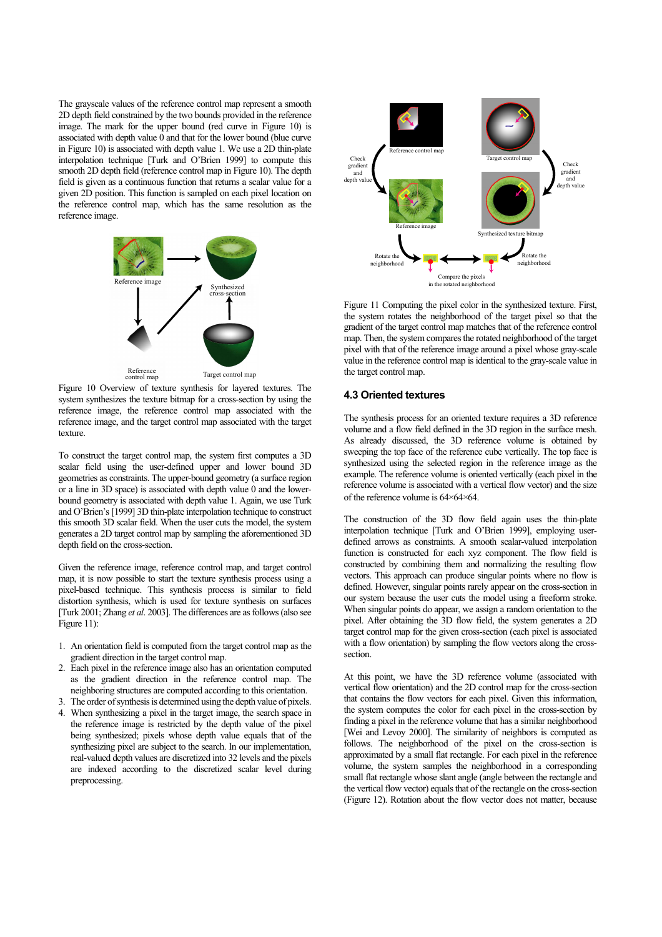The grayscale values of the reference control map represent a smooth 2D depth field constrained by the two bounds provided in the reference image. The mark for the upper bound (red curve in Figure 10) is associated with depth value 0 and that for the lower bound (blue curve in Figure 10) is associated with depth value 1. We use a 2D thin-plate interpolation technique [Turk and O'Brien 1999] to compute this smooth 2D depth field (reference control map in Figure 10). The depth field is given as a continuous function that returns a scalar value for a given 2D position. This function is sampled on each pixel location on the reference control map, which has the same resolution as the reference image.



Figure 10 Overview of texture synthesis for layered textures. The system synthesizes the texture bitmap for a cross-section by using the reference image, the reference control map associated with the reference image, and the target control map associated with the target texture.

To construct the target control map, the system first computes a 3D scalar field using the user-defined upper and lower bound 3D geometries as constraints. The upper-bound geometry (a surface region or a line in 3D space) is associated with depth value 0 and the lowerbound geometry is associated with depth value 1. Again, we use Turk and O'Brien's [1999] 3D thin-plate interpolation technique to construct this smooth 3D scalar field. When the user cuts the model, the system generates a 2D target control map by sampling the aforementioned 3D depth field on the cross-section.

Given the reference image, reference control map, and target control map, it is now possible to start the texture synthesis process using a pixel-based technique. This synthesis process is similar to field distortion synthesis, which is used for texture synthesis on surfaces [Turk 2001; Zhang *et al*. 2003]. The differences are as follows (also see Figure 11):

- 1. An orientation field is computed from the target control map as the gradient direction in the target control map.
- 2. Each pixel in the reference image also has an orientation computed as the gradient direction in the reference control map. The neighboring structures are computed according to this orientation.
- 3. The order of synthesis is determined using the depth value of pixels.
- 4. When synthesizing a pixel in the target image, the search space in the reference image is restricted by the depth value of the pixel being synthesized; pixels whose depth value equals that of the synthesizing pixel are subject to the search. In our implementation, real-valued depth values are discretized into 32 levels and the pixels are indexed according to the discretized scalar level during preprocessing.



Figure 11 Computing the pixel color in the synthesized texture. First, the system rotates the neighborhood of the target pixel so that the gradient of the target control map matches that of the reference control map. Then, the system compares the rotated neighborhood of the target pixel with that of the reference image around a pixel whose gray-scale value in the reference control map is identical to the gray-scale value in the target control map.

# **4.3 Oriented textures**

The synthesis process for an oriented texture requires a 3D reference volume and a flow field defined in the 3D region in the surface mesh. As already discussed, the 3D reference volume is obtained by sweeping the top face of the reference cube vertically. The top face is synthesized using the selected region in the reference image as the example. The reference volume is oriented vertically (each pixel in the reference volume is associated with a vertical flow vector) and the size of the reference volume is 64 64 64.

The construction of the 3D flow field again uses the thin-plate interpolation technique [Turk and O'Brien 1999], employing userdefined arrows as constraints. A smooth scalar-valued interpolation function is constructed for each xyz component. The flow field is constructed by combining them and normalizing the resulting flow vectors. This approach can produce singular points where no flow is defined. However, singular points rarely appear on the cross-section in our system because the user cuts the model using a freeform stroke. When singular points do appear, we assign a random orientation to the pixel. After obtaining the 3D flow field, the system generates a 2D target control map for the given cross-section (each pixel is associated with a flow orientation) by sampling the flow vectors along the crosssection.

At this point, we have the 3D reference volume (associated with vertical flow orientation) and the 2D control map for the cross-section that contains the flow vectors for each pixel. Given this information, the system computes the color for each pixel in the cross-section by finding a pixel in the reference volume that has a similar neighborhood [Wei and Levoy 2000]. The similarity of neighbors is computed as follows. The neighborhood of the pixel on the cross-section is approximated by a small flat rectangle. For each pixel in the reference volume, the system samples the neighborhood in a corresponding small flat rectangle whose slant angle (angle between the rectangle and the vertical flow vector) equals that of the rectangle on the cross-section (Figure 12). Rotation about the flow vector does not matter, because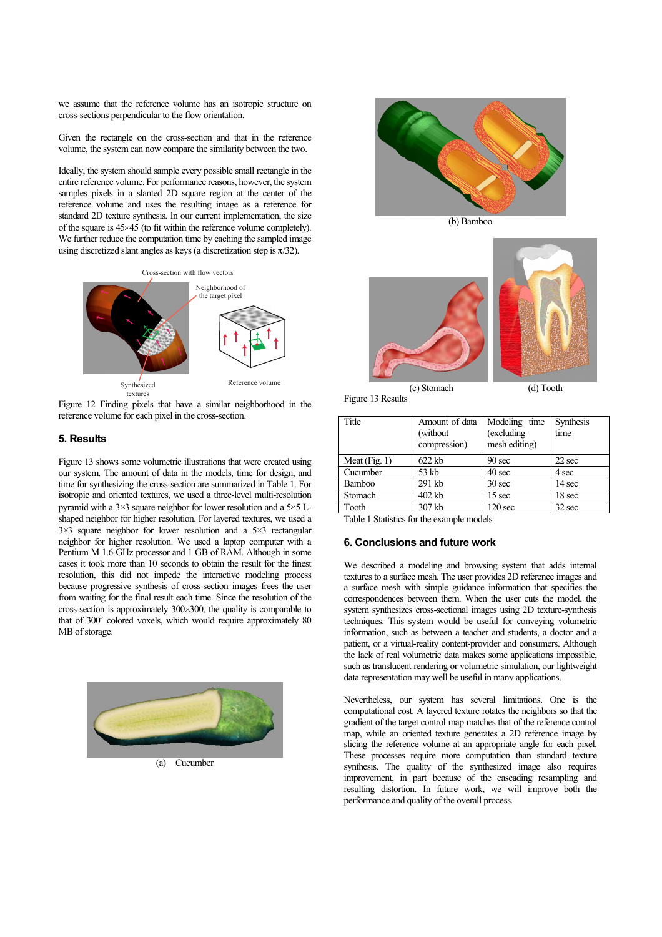we assume that the reference volume has an isotropic structure on cross-sections perpendicular to the flow orientation.

Given the rectangle on the cross-section and that in the reference volume, the system can now compare the similarity between the two.

Ideally, the system should sample every possible small rectangle in the entire reference volume. For performance reasons, however, the system samples pixels in a slanted 2D square region at the center of the reference volume and uses the resulting image as a reference for standard 2D texture synthesis. In our current implementation, the size of the square is 45 45 (to fit within the reference volume completely). We further reduce the computation time by caching the sampled image using discretized slant angles as keys (a discretization step is  $\pi/32$ ).



Figure 12 Finding pixels that have a similar neighborhood in the reference volume for each pixel in the cross-section.

### **5. Results**

Figure 13 shows some volumetric illustrations that were created using our system. The amount of data in the models, time for design, and time for synthesizing the cross-section are summarized in Table 1. For isotropic and oriented textures, we used a three-level multi-resolution pyramid with a  $3\times3$  square neighbor for lower resolution and a  $5\times5$  Lshaped neighbor for higher resolution. For layered textures, we used a  $3\times3$  square neighbor for lower resolution and a  $5\times3$  rectangular neighbor for higher resolution. We used a laptop computer with a Pentium M 1.6-GHz processor and 1 GB of RAM. Although in some cases it took more than 10 seconds to obtain the result for the finest resolution, this did not impede the interactive modeling process because progressive synthesis of cross-section images frees the user from waiting for the final result each time. Since the resolution of the cross-section is approximately 300 300, the quality is comparable to that of 300<sup>3</sup> colored voxels, which would require approximately 80 MB of storage.





(b) Bamboo



Figure 13 Results

| Title           | Amount of data<br>(without)<br>compression) | Modeling time<br>(excluding<br>mesh editing) | Synthesis<br>time |
|-----------------|---------------------------------------------|----------------------------------------------|-------------------|
| Meat $(Fig. 1)$ | $622$ kb                                    | 90 <sub>sec</sub>                            | 22 sec            |
| Cucumber        | 53 kb                                       | 40 sec                                       | 4 sec             |
| Bamboo          | 291 kb                                      | 30 <sub>sec</sub>                            | 14 sec            |
| Stomach         | 402 kb                                      | 15 sec                                       | 18 sec            |
| Tooth           | 307 kb                                      | 120 <sub>sec</sub>                           | 32 sec            |

Table 1 Statistics for the example models

#### **6. Conclusions and future work**

We described a modeling and browsing system that adds internal textures to a surface mesh. The user provides 2D reference images and a surface mesh with simple guidance information that specifies the correspondences between them. When the user cuts the model, the system synthesizes cross-sectional images using 2D texture-synthesis techniques. This system would be useful for conveying volumetric information, such as between a teacher and students, a doctor and a patient, or a virtual-reality content-provider and consumers. Although the lack of real volumetric data makes some applications impossible, such as translucent rendering or volumetric simulation, our lightweight data representation may well be useful in many applications.

Nevertheless, our system has several limitations. One is the computational cost. A layered texture rotates the neighbors so that the gradient of the target control map matches that of the reference control map, while an oriented texture generates a 2D reference image by slicing the reference volume at an appropriate angle for each pixel. These processes require more computation than standard texture synthesis. The quality of the synthesized image also requires improvement, in part because of the cascading resampling and resulting distortion. In future work, we will improve both the performance and quality of the overall process.